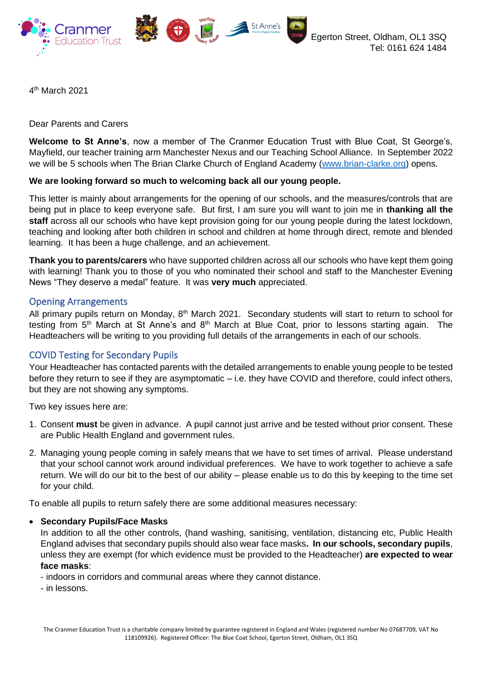

4 th March 2021

Dear Parents and Carers

**Welcome to St Anne's**, now a member of The Cranmer Education Trust with Blue Coat, St George's, Mayfield, our teacher training arm Manchester Nexus and our Teaching School Alliance. In September 2022 we will be 5 schools when The Brian Clarke Church of England Academy [\(www.brian-clarke.org\)](http://www.brian-clarke.org/) opens.

## **We are looking forward so much to welcoming back all our young people.**

This letter is mainly about arrangements for the opening of our schools, and the measures/controls that are being put in place to keep everyone safe. But first, I am sure you will want to join me in **thanking all the staff** across all our schools who have kept provision going for our young people during the latest lockdown, teaching and looking after both children in school and children at home through direct, remote and blended learning. It has been a huge challenge, and an achievement.

**Thank you to parents/carers** who have supported children across all our schools who have kept them going with learning! Thank you to those of you who nominated their school and staff to the Manchester Evening News "They deserve a medal" feature. It was **very much** appreciated.

## Opening Arrangements

All primary pupils return on Monday, 8<sup>th</sup> March 2021. Secondary students will start to return to school for testing from 5<sup>th</sup> March at St Anne's and 8<sup>th</sup> March at Blue Coat, prior to lessons starting again. The Headteachers will be writing to you providing full details of the arrangements in each of our schools.

## COVID Testing for Secondary Pupils

Your Headteacher has contacted parents with the detailed arrangements to enable young people to be tested before they return to see if they are asymptomatic – i.e. they have COVID and therefore, could infect others, but they are not showing any symptoms.

Two key issues here are:

- 1. Consent **must** be given in advance. A pupil cannot just arrive and be tested without prior consent. These are Public Health England and government rules.
- 2. Managing young people coming in safely means that we have to set times of arrival. Please understand that your school cannot work around individual preferences. We have to work together to achieve a safe return. We will do our bit to the best of our ability – please enable us to do this by keeping to the time set for your child.

To enable all pupils to return safely there are some additional measures necessary:

### • **Secondary Pupils/Face Masks**

In addition to all the other controls, (hand washing, sanitising, ventilation, distancing etc, Public Health England advises that secondary pupils should also wear face masks**. In our schools, secondary pupils**, unless they are exempt (for which evidence must be provided to the Headteacher) **are expected to wear face masks**:

- indoors in corridors and communal areas where they cannot distance.
- in lessons.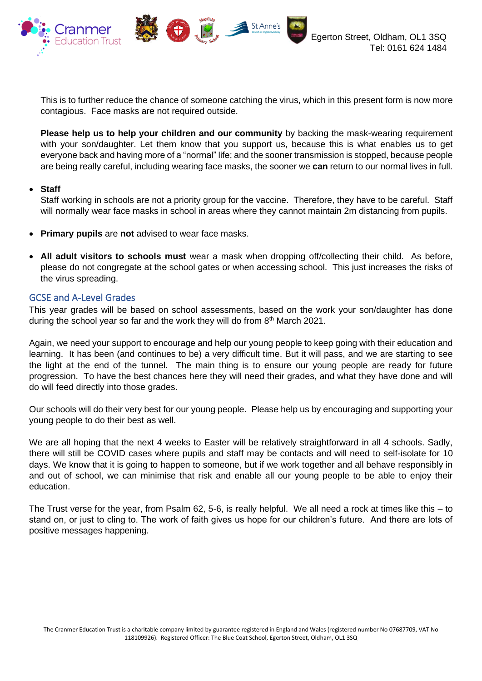

This is to further reduce the chance of someone catching the virus, which in this present form is now more contagious. Face masks are not required outside.

St Anne's

 $\sum_{i=1}^{n}$ 

**Please help us to help your children and our community** by backing the mask-wearing requirement with your son/daughter. Let them know that you support us, because this is what enables us to get everyone back and having more of a "normal" life; and the sooner transmission is stopped, because people are being really careful, including wearing face masks, the sooner we **can** return to our normal lives in full.

### • **Staff**

Staff working in schools are not a priority group for the vaccine. Therefore, they have to be careful. Staff will normally wear face masks in school in areas where they cannot maintain 2m distancing from pupils.

- **Primary pupils** are **not** advised to wear face masks.
- **All adult visitors to schools must** wear a mask when dropping off/collecting their child. As before, please do not congregate at the school gates or when accessing school. This just increases the risks of the virus spreading.

# GCSE and A-Level Grades

This year grades will be based on school assessments, based on the work your son/daughter has done during the school year so far and the work they will do from 8<sup>th</sup> March 2021.

Again, we need your support to encourage and help our young people to keep going with their education and learning. It has been (and continues to be) a very difficult time. But it will pass, and we are starting to see the light at the end of the tunnel. The main thing is to ensure our young people are ready for future progression. To have the best chances here they will need their grades, and what they have done and will do will feed directly into those grades.

Our schools will do their very best for our young people. Please help us by encouraging and supporting your young people to do their best as well.

We are all hoping that the next 4 weeks to Easter will be relatively straightforward in all 4 schools. Sadly, there will still be COVID cases where pupils and staff may be contacts and will need to self-isolate for 10 days. We know that it is going to happen to someone, but if we work together and all behave responsibly in and out of school, we can minimise that risk and enable all our young people to be able to enjoy their education.

The Trust verse for the year, from Psalm 62, 5-6, is really helpful. We all need a rock at times like this – to stand on, or just to cling to. The work of faith gives us hope for our children's future. And there are lots of positive messages happening.